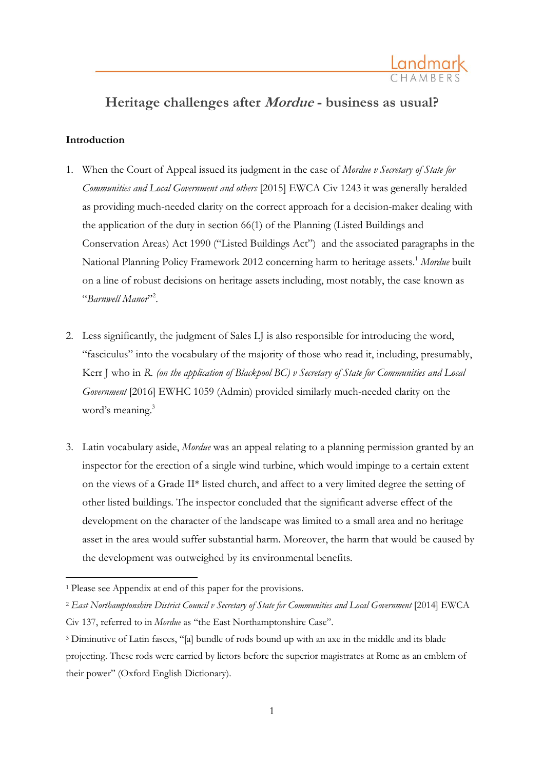

# **Heritage challenges after Mordue - business as usual?**

## **Introduction**

 $\overline{a}$ 

- 1. When the Court of Appeal issued its judgment in the case of *Mordue v Secretary of State for Communities and Local Government and others* [2015] EWCA Civ 1243 it was generally heralded as providing much-needed clarity on the correct approach for a decision-maker dealing with the application of the duty in section 66(1) of the Planning (Listed Buildings and Conservation Areas) Act 1990 ("Listed Buildings Act") and the associated paragraphs in the National Planning Policy Framework 2012 concerning harm to heritage assets.<sup>1</sup> *Mordue* built on a line of robust decisions on heritage assets including, most notably, the case known as "*Barnwell Manor*" 2 .
- 2. Less significantly, the judgment of Sales LJ is also responsible for introducing the word, "fasciculus" into the vocabulary of the majority of those who read it, including, presumably, Kerr J who in *R. (on the application of Blackpool BC) v Secretary of State for Communities and Local Government* [2016] EWHC 1059 (Admin) provided similarly much-needed clarity on the word's meaning.<sup>3</sup>
- 3. Latin vocabulary aside, *Mordue* was an appeal relating to a planning permission granted by an inspector for the erection of a single wind turbine, which would impinge to a certain extent on the views of a Grade II\* listed church, and affect to a very limited degree the setting of other listed buildings. The inspector concluded that the significant adverse effect of the development on the character of the landscape was limited to a small area and no heritage asset in the area would suffer substantial harm. Moreover, the harm that would be caused by the development was outweighed by its environmental benefits.

<sup>1</sup> Please see Appendix at end of this paper for the provisions.

<sup>2</sup> *East Northamptonshire District Council v Secretary of State for Communities and Local Government* [2014] EWCA Civ 137, referred to in *Mordue* as "the East Northamptonshire Case".

<sup>&</sup>lt;sup>3</sup> Diminutive of Latin fasces, "[a] bundle of rods bound up with an axe in the middle and its blade projecting. These rods were carried by lictors before the superior magistrates at Rome as an emblem of their power" (Oxford English Dictionary).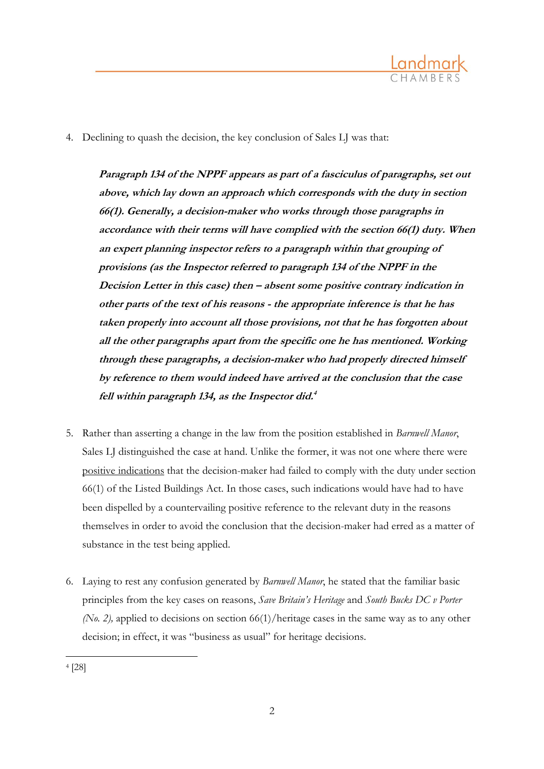

4. Declining to quash the decision, the key conclusion of Sales LJ was that:

**Paragraph 134 of the NPPF appears as part of <sup>a</sup> fasciculus of paragraphs, set out above, which lay down an approach which corresponds with the duty in section 66(1). Generally, <sup>a</sup> decision-maker who works through those paragraphs in accordance with their terms will have complied with the section 66(1) duty. When an expert planning inspector refers to <sup>a</sup> paragraph within that grouping of provisions (as the Inspector referred to paragraph 134 of the NPPF in the Decision Letter in this case) then – absent some positive contrary indication in other parts of the text of his reasons - the appropriate inference is that he has taken properly into account all those provisions, not that he has forgotten about all the other paragraphs apart from the specific one he has mentioned. Working through these paragraphs, <sup>a</sup> decision-maker who had properly directed himself by reference to them would indeed have arrived at the conclusion that the case fell within paragraph 134, as the Inspector did. 4**

- 5. Rather than asserting a change in the law from the position established in *Barnwell Manor*, Sales LJ distinguished the case at hand. Unlike the former, it was not one where there were positive indications that the decision-maker had failed to comply with the duty under section 66(1) of the Listed Buildings Act. In those cases, such indications would have had to have been dispelled by a countervailing positive reference to the relevant duty in the reasons themselves in order to avoid the conclusion that the decision-maker had erred as a matter of substance in the test being applied.
- 6. Laying to rest any confusion generated by *Barnwell Manor*, he stated that the familiar basic principles from the key cases on reasons, *Save Britain's Heritage* and *South Bucks DC v Porter (No. 2),* applied to decisions on section 66(1)/heritage cases in the same way as to any other decision; in effect, it was "business as usual" for heritage decisions.

 $\overline{a}$ 

<sup>4</sup> [28]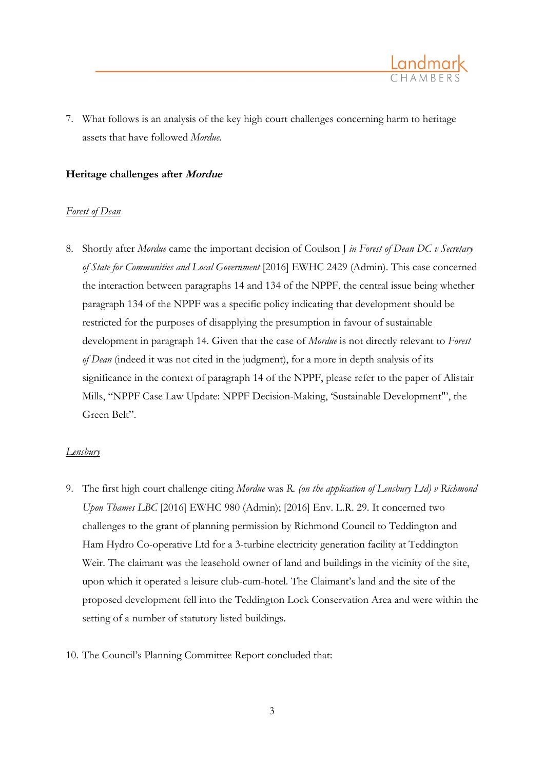7. What follows is an analysis of the key high court challenges concerning harm to heritage assets that have followed *Mordue.*

#### **Heritage challenges after Mordue**

#### *Forest of Dean*

8. Shortly after *Mordue* came the important decision of Coulson J *in Forest of Dean DC v Secretary of State for Communities and Local Government* [2016] EWHC 2429 (Admin). This case concerned the interaction between paragraphs 14 and 134 of the NPPF, the central issue being whether paragraph 134 of the NPPF was a specific policy indicating that development should be restricted for the purposes of disapplying the presumption in favour of sustainable development in paragraph 14. Given that the case of *Mordue* is not directly relevant to *Forest of Dean* (indeed it was not cited in the judgment), for a more in depth analysis of its significance in the context of paragraph 14 of the NPPF, please refer to the paper of Alistair Mills, "NPPF Case Law Update: NPPF Decision-Making, 'Sustainable Development"', the Green Belt".

### *Lensbury*

- 9. The first high court challenge citing *Mordue* was *R. (on the application of Lensbury Ltd) v Richmond Upon Thames LBC* [2016] EWHC 980 (Admin); [2016] Env. L.R. 29. It concerned two challenges to the grant of planning permission by Richmond Council to Teddington and Ham Hydro Co-operative Ltd for a 3-turbine electricity generation facility at Teddington Weir. The claimant was the leasehold owner of land and buildings in the vicinity of the site, upon which it operated a leisure club-cum-hotel. The Claimant's land and the site of the proposed development fell into the Teddington Lock Conservation Area and were within the setting of a number of statutory listed buildings.
- 10. The Council's Planning Committee Report concluded that: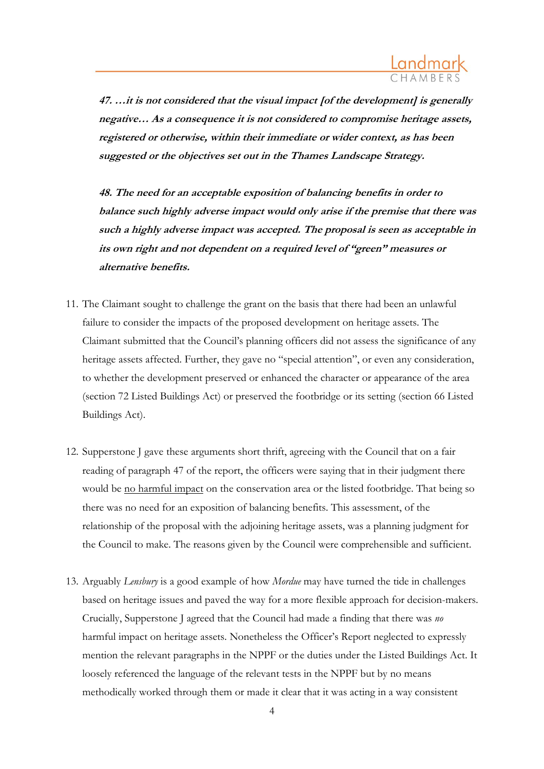

**47. …it is not considered that the visual impact [of the development] is generally negative… As <sup>a</sup> consequence it is not considered to compromise heritage assets, registered or otherwise, within their immediate or wider context, as has been suggested or the objectives set out in the Thames Landscape Strategy.**

**48. The need for an acceptable exposition of balancing benefits in order to balance such highly adverse impact would only arise if the premise that there was such <sup>a</sup> highly adverse impact was accepted. The proposal is seen as acceptable in its own right and not dependent on <sup>a</sup> required level of "green" measures or alternative benefits.**

- 11. The Claimant sought to challenge the grant on the basis that there had been an unlawful failure to consider the impacts of the proposed development on heritage assets. The Claimant submitted that the Council's planning officers did not assess the significance of any heritage assets affected. Further, they gave no "special attention", or even any consideration, to whether the development preserved or enhanced the character or appearance of the area (section 72 Listed Buildings Act) or preserved the footbridge or its setting (section 66 Listed Buildings Act).
- 12. Supperstone J gave these arguments short thrift, agreeing with the Council that on a fair reading of paragraph 47 of the report, the officers were saying that in their judgment there would be <u>no harmful impact</u> on the conservation area or the listed footbridge. That being so there was no need for an exposition of balancing benefits. This assessment, of the relationship of the proposal with the adjoining heritage assets, was a planning judgment for the Council to make. The reasons given by the Council were comprehensible and sufficient.
- 13. Arguably *Lensbury* is a good example of how *Mordue* may have turned the tide in challenges based on heritage issues and paved the way for a more flexible approach for decision-makers. Crucially, Supperstone J agreed that the Council had made a finding that there was *no* harmful impact on heritage assets. Nonetheless the Officer's Report neglected to expressly mention the relevant paragraphs in the NPPF or the duties under the Listed Buildings Act. It loosely referenced the language of the relevant tests in the NPPF but by no means methodically worked through them or made it clear that it was acting in a way consistent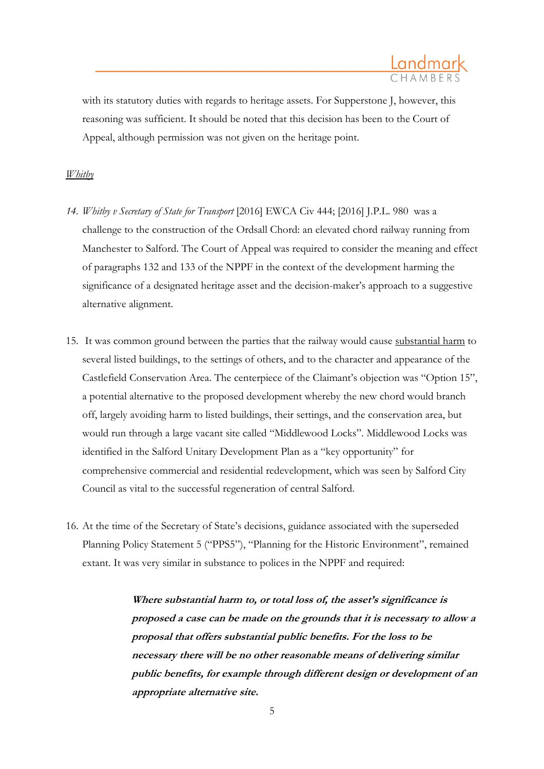

with its statutory duties with regards to heritage assets. For Supperstone J, however, this reasoning was sufficient. It should be noted that this decision has been to the Court of Appeal, although permission was not given on the heritage point.

#### *Whitby*

- *14. Whitby v Secretary of State for Transport* [2016] EWCA Civ 444; [2016] J.P.L. 980 was a challenge to the construction of the Ordsall Chord: an elevated chord railway running from Manchester to Salford. The Court of Appeal was required to consider the meaning and effect of paragraphs 132 and 133 of the NPPF in the context of the development harming the significance of a designated heritage asset and the decision-maker's approach to a suggestive alternative alignment.
- 15. It was common ground between the parties that the railway would cause substantial harm to several listed buildings, to the settings of others, and to the character and appearance of the Castlefield Conservation Area. The centerpiece of the Claimant's objection was "Option 15", a potential alternative to the proposed development whereby the new chord would branch off, largely avoiding harm to listed buildings, their settings, and the conservation area, but would run through a large vacant site called "Middlewood Locks". Middlewood Locks was identified in the Salford Unitary Development Plan as a "key opportunity" for comprehensive commercial and residential redevelopment, which was seen by Salford City Council as vital to the successful regeneration of central Salford.
- 16. At the time of the Secretary of State's decisions, guidance associated with the superseded Planning Policy Statement 5 ("PPS5"), "Planning for the Historic Environment", remained extant. It was very similar in substance to polices in the NPPF and required:

**Where substantial harm to, or total loss of, the asset's significance is proposed <sup>a</sup> case can be made on the grounds that it is necessary to allow <sup>a</sup> proposal that offers substantial public benefits. For the loss to be necessary there will be no other reasonable means of delivering similar public benefits, for example through different design or development of an appropriate alternative site.**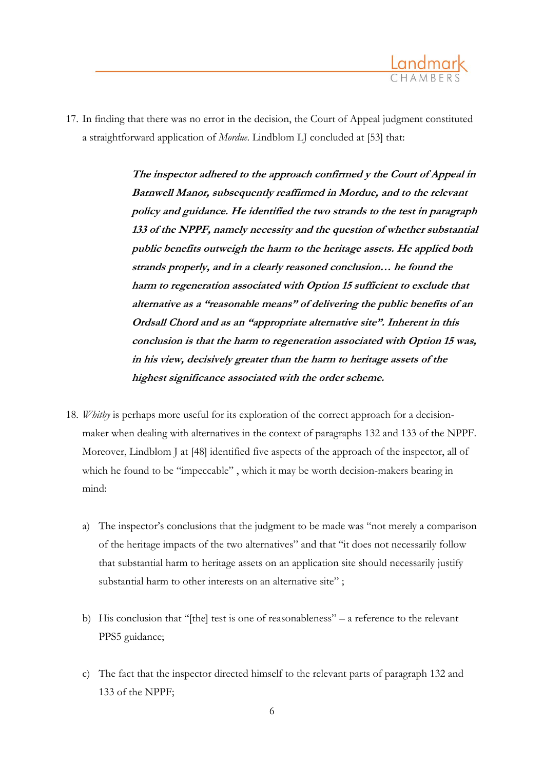

17. In finding that there was no error in the decision, the Court of Appeal judgment constituted a straightforward application of *Mordue*. Lindblom LJ concluded at [53] that:

> **The inspector adhered to the approach confirmed y the Court of Appeal in Barnwell Manor, subsequently reaffirmed in Mordue, and to the relevant policy and guidance. He identified the two strands to the test in paragraph 133 of the NPPF, namely necessity and the question of whether substantial public benefits outweigh the harm to the heritage assets. He applied both strands properly, and in <sup>a</sup> clearly reasoned conclusion… he found the harm to regeneration associated with Option 15 sufficient to exclude that alternative as <sup>a</sup> "reasonable means" of delivering the public benefits of an Ordsall Chord and as an "appropriate alternative site". Inherent in this conclusion is that the harm to regeneration associated with Option 15 was, in his view, decisively greater than the harm to heritage assets of the highest significance associated with the order scheme.**

- 18. *Whitby* is perhaps more useful for its exploration of the correct approach for a decisionmaker when dealing with alternatives in the context of paragraphs 132 and 133 of the NPPF. Moreover, Lindblom J at [48] identified five aspects of the approach of the inspector, all of which he found to be "impeccable" , which it may be worth decision-makers bearing in mind:
	- a) The inspector's conclusions that the judgment to be made was "not merely a comparison of the heritage impacts of the two alternatives" and that "it does not necessarily follow that substantial harm to heritage assets on an application site should necessarily justify substantial harm to other interests on an alternative site";
	- b) His conclusion that "[the] test is one of reasonableness" a reference to the relevant PPS5 guidance;
	- c) The fact that the inspector directed himself to the relevant parts of paragraph 132 and 133 of the NPPF;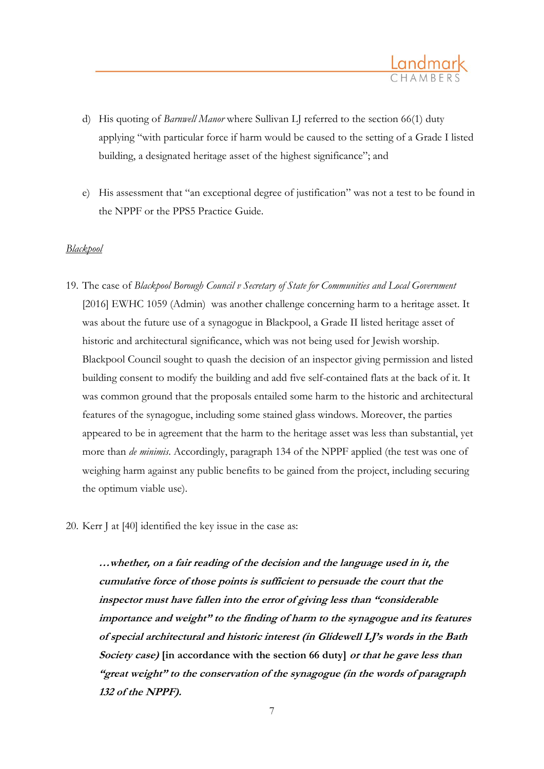

- d) His quoting of *Barnwell Manor* where Sullivan LJ referred to the section 66(1) duty applying "with particular force if harm would be caused to the setting of a Grade I listed building, a designated heritage asset of the highest significance"; and
- e) His assessment that "an exceptional degree of justification" was not a test to be found in the NPPF or the PPS5 Practice Guide.

### *Blackpool*

- 19. The case of *Blackpool Borough Council v Secretary of State for Communities and Local Government* [2016] EWHC 1059 (Admin) was another challenge concerning harm to a heritage asset. It was about the future use of a synagogue in Blackpool, a Grade II listed heritage asset of historic and architectural significance, which was not being used for Jewish worship. Blackpool Council sought to quash the decision of an inspector giving permission and listed building consent to modify the building and add five self-contained flats at the back of it. It was common ground that the proposals entailed some harm to the historic and architectural features of the synagogue, including some stained glass windows. Moreover, the parties appeared to be in agreement that the harm to the heritage asset was less than substantial, yet more than *de minimis*. Accordingly, paragraph 134 of the NPPF applied (the test was one of weighing harm against any public benefits to be gained from the project, including securing the optimum viable use).
- 20. Kerr J at [40] identified the key issue in the case as:

**…whether, on <sup>a</sup> fair reading of the decision and the language used in it, the cumulative force of those points is sufficient to persuade the court that the inspector must have fallen into the error of giving less than "considerable importance and weight" to the finding of harm to the synagogue and its features of special architectural and historic interest (in Glidewell LJ's words in the Bath Society case) [in accordance with the section 66 duty] or that he gave less than "great weight" to the conservation of the synagogue (in the words of paragraph 132 of the NPPF).**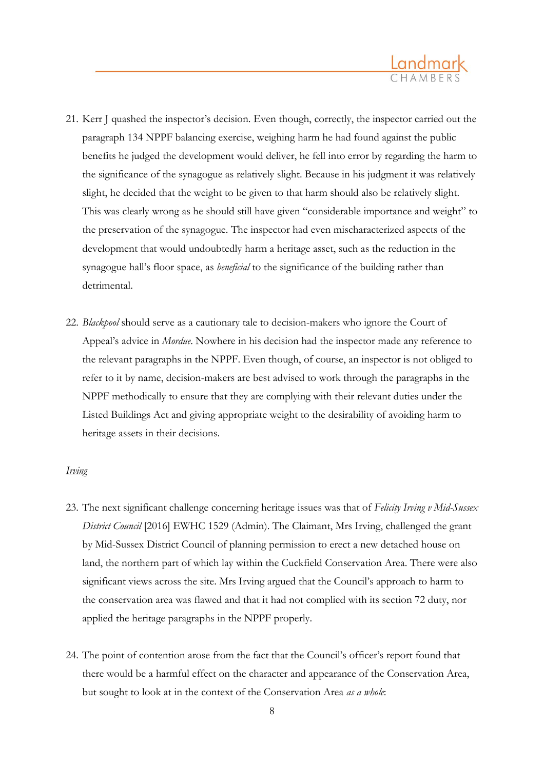

- 21. Kerr J quashed the inspector's decision. Even though, correctly, the inspector carried out the paragraph 134 NPPF balancing exercise, weighing harm he had found against the public benefits he judged the development would deliver, he fell into error by regarding the harm to the significance of the synagogue as relatively slight. Because in his judgment it was relatively slight, he decided that the weight to be given to that harm should also be relatively slight. This was clearly wrong as he should still have given "considerable importance and weight" to the preservation of the synagogue. The inspector had even mischaracterized aspects of the development that would undoubtedly harm a heritage asset, such as the reduction in the synagogue hall's floor space, as *beneficial* to the significance of the building rather than detrimental.
- 22. *Blackpool* should serve as a cautionary tale to decision-makers who ignore the Court of Appeal's advice in *Mordue*. Nowhere in his decision had the inspector made any reference to the relevant paragraphs in the NPPF. Even though, of course, an inspector is not obliged to refer to it by name, decision-makers are best advised to work through the paragraphs in the NPPF methodically to ensure that they are complying with their relevant duties under the Listed Buildings Act and giving appropriate weight to the desirability of avoiding harm to heritage assets in their decisions.

#### *Irving*

- 23. The next significant challenge concerning heritage issues was that of *Felicity Irving v Mid-Sussex District Council* [2016] EWHC 1529 (Admin). The Claimant, Mrs Irving, challenged the grant by Mid-Sussex District Council of planning permission to erect a new detached house on land, the northern part of which lay within the Cuckfield Conservation Area. There were also significant views across the site. Mrs Irving argued that the Council's approach to harm to the conservation area was flawed and that it had not complied with its section 72 duty, nor applied the heritage paragraphs in the NPPF properly.
- 24. The point of contention arose from the fact that the Council's officer's report found that there would be a harmful effect on the character and appearance of the Conservation Area, but sought to look at in the context of the Conservation Area *as a whole*: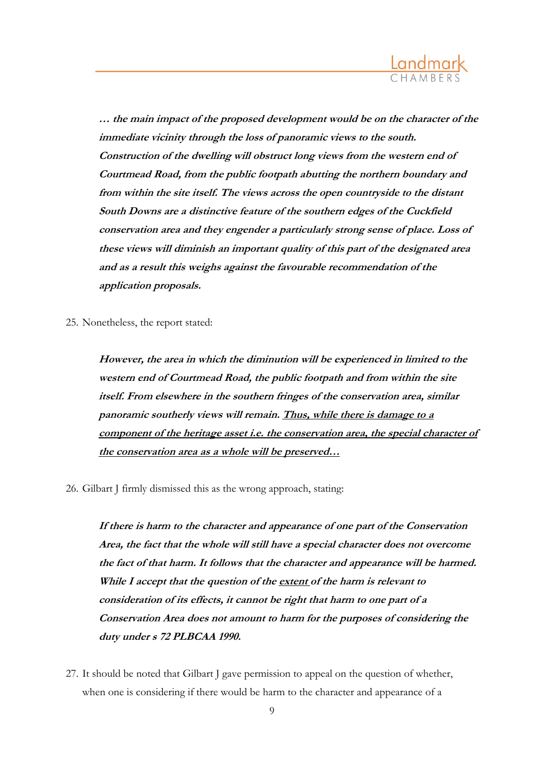

**… the main impact of the proposed development would be on the character of the immediate vicinity through the loss of panoramic views to the south. Construction of the dwelling will obstruct long views from the western end of Courtmead Road, from the public footpath abutting the northern boundary and from within the site itself. The views across the open countryside to the distant South Downs are <sup>a</sup> distinctive feature of the southern edges of the Cuckfield conservation area and they engender <sup>a</sup> particularly strong sense of place. Loss of these views will diminish an important quality of this part of the designated area and as <sup>a</sup> result this weighs against the favourable recommendation of the application proposals.**

25. Nonetheless, the report stated:

**However, the area in which the diminution will be experienced in limited to the western end of Courtmead Road, the public footpath and from within the site itself. From elsewhere in the southern fringes of the conservation area, similar panoramic southerly views will remain. Thus, while there is damage to <sup>a</sup> component of the heritage asset i.e. the conservation area, the special character of the conservation area as <sup>a</sup> whole will be preserved…**

26. Gilbart J firmly dismissed this as the wrong approach, stating:

**If there is harm to the character and appearance of one part of the Conservation Area, the fact that the whole will still have <sup>a</sup> special character does not overcome the fact of that harm. It follows that the character and appearance will be harmed. While I accept that the question of the extent of the harm is relevant to consideration of its effects, it cannot be right that harm to one part of <sup>a</sup> Conservation Area does not amount to harm for the purposes of considering the duty under <sup>s</sup> 72 PLBCAA 1990.**

27. It should be noted that Gilbart J gave permission to appeal on the question of whether, when one is considering if there would be harm to the character and appearance of a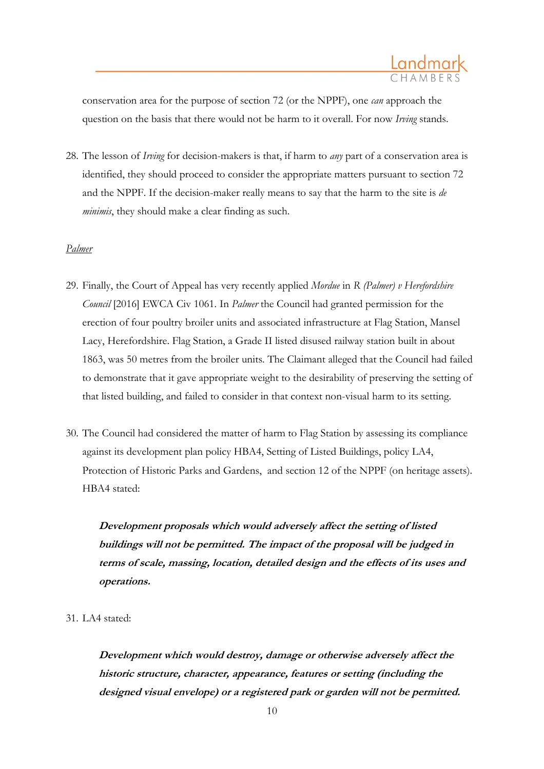

conservation area for the purpose of section 72 (or the NPPF), one *can* approach the question on the basis that there would not be harm to it overall. For now *Irving* stands.

28. The lesson of *Irving* for decision-makers is that, if harm to *any* part of a conservation area is identified, they should proceed to consider the appropriate matters pursuant to section 72 and the NPPF. If the decision-maker really means to say that the harm to the site is *de minimis*, they should make a clear finding as such.

### *Palmer*

- 29. Finally, the Court of Appeal has very recently applied *Mordue* in *R (Palmer) v Herefordshire Council* [2016] EWCA Civ 1061*.* In *Palmer* the Council had granted permission for the erection of four poultry broiler units and associated infrastructure at Flag Station, Mansel Lacy, Herefordshire. Flag Station, a Grade II listed disused railway station built in about 1863, was 50 metres from the broiler units. The Claimant alleged that the Council had failed to demonstrate that it gave appropriate weight to the desirability of preserving the setting of that listed building, and failed to consider in that context non-visual harm to its setting.
- 30. The Council had considered the matter of harm to Flag Station by assessing its compliance against its development plan policy HBA4, Setting of Listed Buildings, policy LA4, Protection of Historic Parks and Gardens, and section 12 of the NPPF (on heritage assets). HBA4 stated:

**Development proposals which would adversely affect the setting of listed buildings will not be permitted. The impact of the proposal will be judged in terms of scale, massing, location, detailed design and the effects of its uses and operations.**

31. LA4 stated:

**Development which would destroy, damage or otherwise adversely affect the historic structure, character, appearance, features or setting (including the designed visual envelope) or <sup>a</sup> registered park or garden will not be permitted.**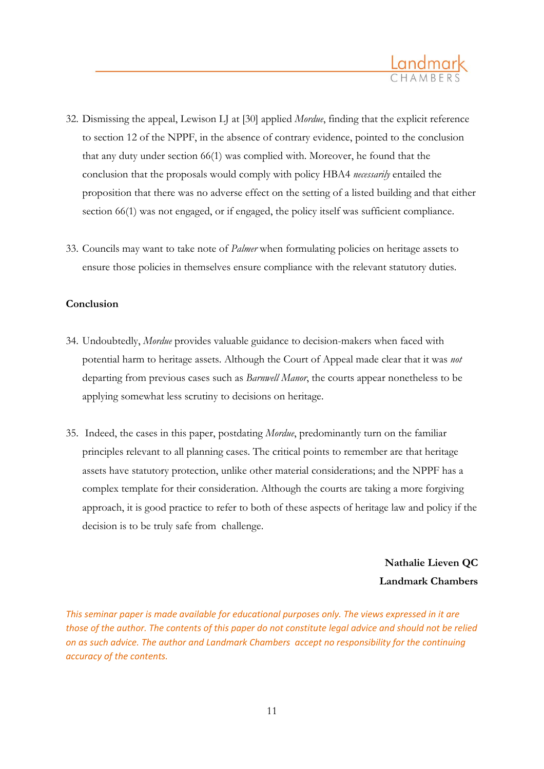

- 32. Dismissing the appeal, Lewison LJ at [30] applied *Mordue*, finding that the explicit reference to section 12 of the NPPF, in the absence of contrary evidence, pointed to the conclusion that any duty under section 66(1) was complied with. Moreover, he found that the conclusion that the proposals would comply with policy HBA4 *necessarily* entailed the proposition that there was no adverse effect on the setting of a listed building and that either section 66(1) was not engaged, or if engaged, the policy itself was sufficient compliance.
- 33. Councils may want to take note of *Palmer* when formulating policies on heritage assets to ensure those policies in themselves ensure compliance with the relevant statutory duties.

### **Conclusion**

- 34. Undoubtedly, *Mordue* provides valuable guidance to decision-makers when faced with potential harm to heritage assets. Although the Court of Appeal made clear that it was *not* departing from previous cases such as *Barnwell Manor*, the courts appear nonetheless to be applying somewhat less scrutiny to decisions on heritage.
- 35. Indeed, the cases in this paper, postdating *Mordue*, predominantly turn on the familiar principles relevant to all planning cases. The critical points to remember are that heritage assets have statutory protection, unlike other material considerations; and the NPPF has a complex template for their consideration. Although the courts are taking a more forgiving approach, it is good practice to refer to both of these aspects of heritage law and policy if the decision is to be truly safe from challenge.

**Nathalie Lieven QC Landmark Chambers**

*This seminar paper is made available for educational purposes only. The views expressed in it are those of the author. The contents of this paper do not constitute legal advice and should not be relied on as such advice. The author and Landmark Chambers accept no responsibility for the continuing accuracy of the contents.*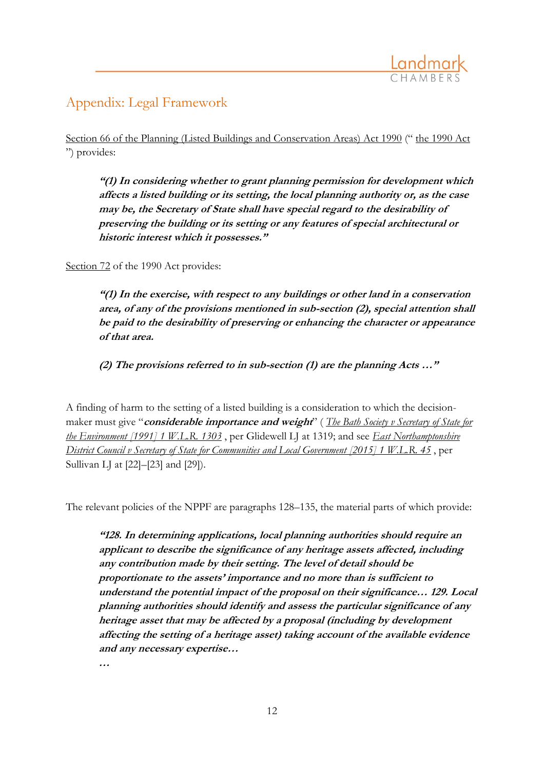

# Appendix: Legal Framework

[Section 66 of the Planning \(Listed Buildings and Conservation Areas\) Act 1990](http://login.westlaw.co.uk/maf/wluk/app/document?src=doc&linktype=ref&context=126&crumb-action=replace&docguid=I18E0E410E44C11DA8D70A0E70A78ED65) (" [the 1990 Act](http://login.westlaw.co.uk/maf/wluk/app/document?src=doc&linktype=ref&context=126&crumb-action=replace&docguid=I5FF067F0E42311DAA7CF8F68F6EE57AB) ") provides:

**"(1) In considering whether to grant planning permission for development which affects a listed building or its setting, the local planning authority or, as the case may be, the Secretary of State shall have special regard to the desirability of preserving the building or its setting or any features of special architectural or historic interest which it possesses."**

[Section 72](http://login.westlaw.co.uk/maf/wluk/app/document?src=doc&linktype=ref&context=126&crumb-action=replace&docguid=I688AB530E44811DA8D70A0E70A78ED65) of the 1990 Act provides:

**"(1) In the exercise, with respect to any buildings or other land in a conservation area, of any of the provisions mentioned in sub-section (2), special attention shall be paid to the desirability of preserving or enhancing the character or appearance of that area.**

**(2) The provisions referred to in sub-section (1) are the planning Acts …"**

A finding of harm to the setting of a listed building is a consideration to which the decisionmaker must give "**considerable importance and weight**" ( *[The Bath Society v Secretary of State for](http://login.westlaw.co.uk/maf/wluk/app/document?src=doc&linktype=ref&context=126&crumb-action=replace&docguid=I704F65C0E42711DA8FC2A0F0355337E9)  [the Environment \[1991\] 1 W.L.R. 1303](http://login.westlaw.co.uk/maf/wluk/app/document?src=doc&linktype=ref&context=126&crumb-action=replace&docguid=I704F65C0E42711DA8FC2A0F0355337E9)* , per Glidewell LJ at 1319; and see *[East Northamptonshire](http://login.westlaw.co.uk/maf/wluk/app/document?src=doc&linktype=ref&context=126&crumb-action=replace&docguid=IF05C2CC098FC11E38BB1D59D0C9A5DC0)  [District Council v Secretary of State for Communities and Local Government \[2015\] 1 W.L.R. 45](http://login.westlaw.co.uk/maf/wluk/app/document?src=doc&linktype=ref&context=126&crumb-action=replace&docguid=IF05C2CC098FC11E38BB1D59D0C9A5DC0)* , per Sullivan LJ at [22]–[23] and [29]).

The relevant policies of the NPPF are paragraphs 128–135, the material parts of which provide:

**"128. In determining applications, local planning authorities should require an applicant to describe the significance of any heritage assets affected, including any contribution made by their setting. The level of detail should be proportionate to the assets' importance and no more than is sufficient to understand the potential impact of the proposal on their significance… 129. Local planning authorities should identify and assess the particular significance of any heritage asset that may be affected by a proposal (including by development affecting the setting of a heritage asset) taking account of the available evidence and any necessary expertise…**